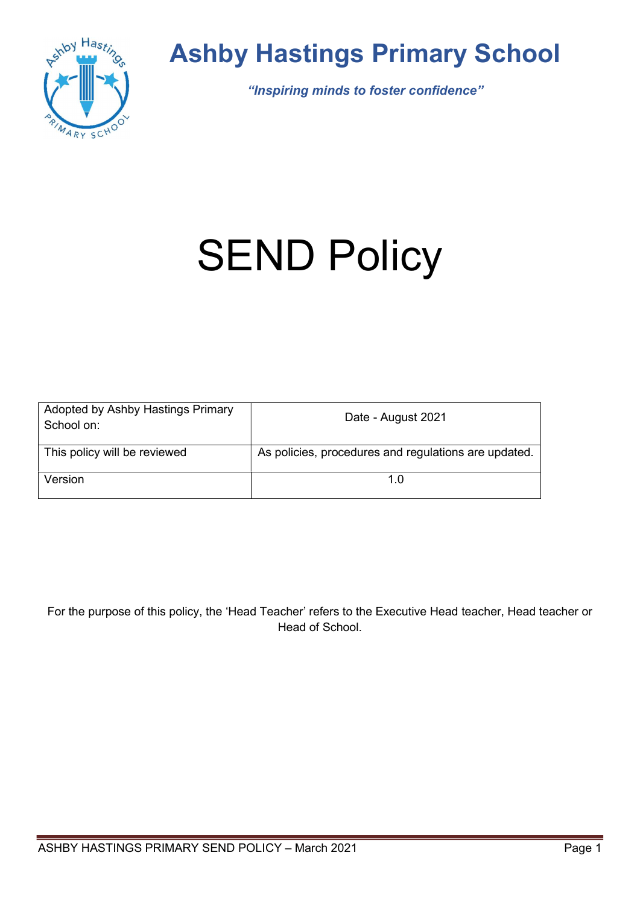

# Ashby Hastings Primary School

"Inspiring minds to foster confidence"

# **SEND Policy**

| Adopted by Ashby Hastings Primary<br>School on: | Date - August 2021                                   |
|-------------------------------------------------|------------------------------------------------------|
| This policy will be reviewed                    | As policies, procedures and regulations are updated. |
| Version                                         | 1 በ                                                  |

For the purpose of this policy, the 'Head Teacher' refers to the Executive Head teacher, Head teacher or Head of School.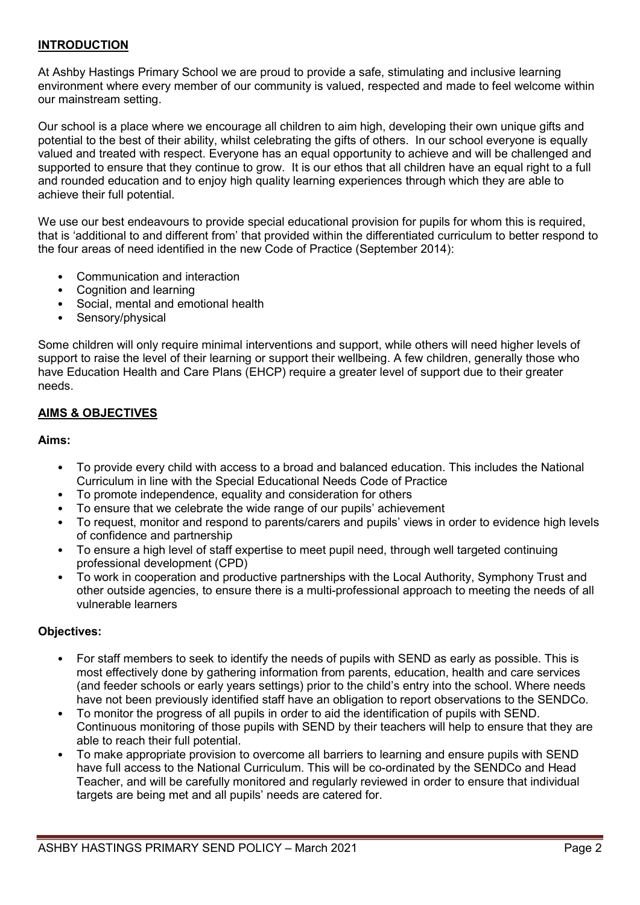# INTRODUCTION

At Ashby Hastings Primary School we are proud to provide a safe, stimulating and inclusive learning environment where every member of our community is valued, respected and made to feel welcome within our mainstream setting.

Our school is a place where we encourage all children to aim high, developing their own unique gifts and potential to the best of their ability, whilst celebrating the gifts of others. In our school everyone is equally valued and treated with respect. Everyone has an equal opportunity to achieve and will be challenged and supported to ensure that they continue to grow. It is our ethos that all children have an equal right to a full and rounded education and to enjoy high quality learning experiences through which they are able to achieve their full potential.

We use our best endeavours to provide special educational provision for pupils for whom this is required, that is 'additional to and different from' that provided within the differentiated curriculum to better respond to the four areas of need identified in the new Code of Practice (September 2014):

- Communication and interaction
- Cognition and learning
- Social, mental and emotional health
- Sensory/physical

Some children will only require minimal interventions and support, while others will need higher levels of support to raise the level of their learning or support their wellbeing. A few children, generally those who have Education Health and Care Plans (EHCP) require a greater level of support due to their greater needs.

# AIMS & OBJECTIVES

#### Aims:

- To provide every child with access to a broad and balanced education. This includes the National Curriculum in line with the Special Educational Needs Code of Practice
- To promote independence, equality and consideration for others
- To ensure that we celebrate the wide range of our pupils' achievement
- To request, monitor and respond to parents/carers and pupils' views in order to evidence high levels of confidence and partnership
- To ensure a high level of staff expertise to meet pupil need, through well targeted continuing professional development (CPD)
- To work in cooperation and productive partnerships with the Local Authority, Symphony Trust and other outside agencies, to ensure there is a multi-professional approach to meeting the needs of all vulnerable learners

#### Objectives:

- For staff members to seek to identify the needs of pupils with SEND as early as possible. This is most effectively done by gathering information from parents, education, health and care services (and feeder schools or early years settings) prior to the child's entry into the school. Where needs have not been previously identified staff have an obligation to report observations to the SENDCo.
- To monitor the progress of all pupils in order to aid the identification of pupils with SEND. Continuous monitoring of those pupils with SEND by their teachers will help to ensure that they are able to reach their full potential.
- To make appropriate provision to overcome all barriers to learning and ensure pupils with SEND have full access to the National Curriculum. This will be co-ordinated by the SENDCo and Head Teacher, and will be carefully monitored and regularly reviewed in order to ensure that individual targets are being met and all pupils' needs are catered for.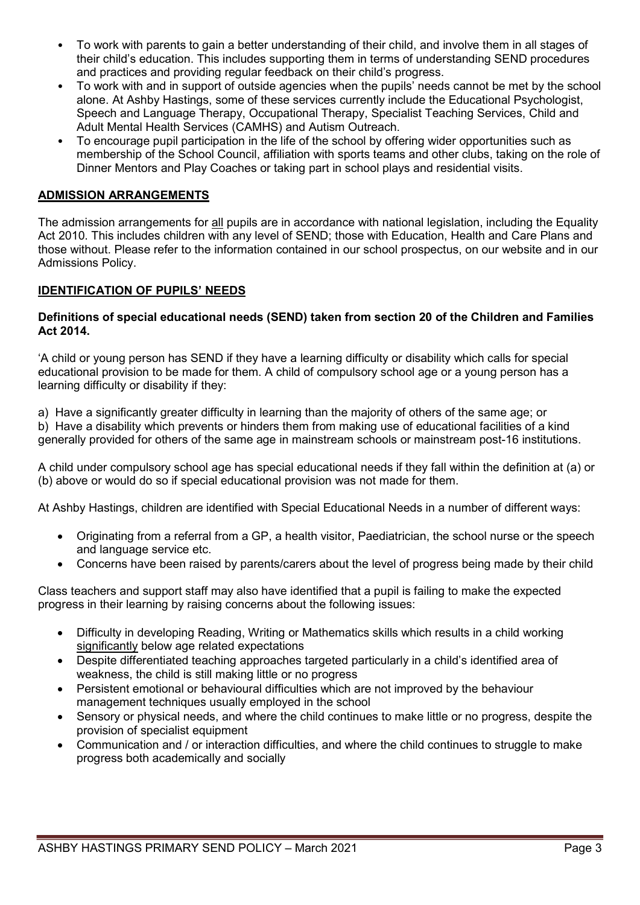- To work with parents to gain a better understanding of their child, and involve them in all stages of their child's education. This includes supporting them in terms of understanding SEND procedures and practices and providing regular feedback on their child's progress.
- To work with and in support of outside agencies when the pupils' needs cannot be met by the school alone. At Ashby Hastings, some of these services currently include the Educational Psychologist, Speech and Language Therapy, Occupational Therapy, Specialist Teaching Services, Child and Adult Mental Health Services (CAMHS) and Autism Outreach.
- To encourage pupil participation in the life of the school by offering wider opportunities such as membership of the School Council, affiliation with sports teams and other clubs, taking on the role of Dinner Mentors and Play Coaches or taking part in school plays and residential visits.

# ADMISSION ARRANGEMENTS

The admission arrangements for all pupils are in accordance with national legislation, including the Equality Act 2010. This includes children with any level of SEND; those with Education, Health and Care Plans and those without. Please refer to the information contained in our school prospectus, on our website and in our Admissions Policy.

# IDENTIFICATION OF PUPILS' NEEDS

#### Definitions of special educational needs (SEND) taken from section 20 of the Children and Families Act 2014.

'A child or young person has SEND if they have a learning difficulty or disability which calls for special educational provision to be made for them. A child of compulsory school age or a young person has a learning difficulty or disability if they:

a) Have a significantly greater difficulty in learning than the majority of others of the same age; or

b) Have a disability which prevents or hinders them from making use of educational facilities of a kind generally provided for others of the same age in mainstream schools or mainstream post-16 institutions.

A child under compulsory school age has special educational needs if they fall within the definition at (a) or (b) above or would do so if special educational provision was not made for them.

At Ashby Hastings, children are identified with Special Educational Needs in a number of different ways:

- Originating from a referral from a GP, a health visitor, Paediatrician, the school nurse or the speech and language service etc.
- Concerns have been raised by parents/carers about the level of progress being made by their child

Class teachers and support staff may also have identified that a pupil is failing to make the expected progress in their learning by raising concerns about the following issues:

- Difficulty in developing Reading, Writing or Mathematics skills which results in a child working significantly below age related expectations
- Despite differentiated teaching approaches targeted particularly in a child's identified area of weakness, the child is still making little or no progress
- Persistent emotional or behavioural difficulties which are not improved by the behaviour management techniques usually employed in the school
- Sensory or physical needs, and where the child continues to make little or no progress, despite the provision of specialist equipment
- Communication and / or interaction difficulties, and where the child continues to struggle to make progress both academically and socially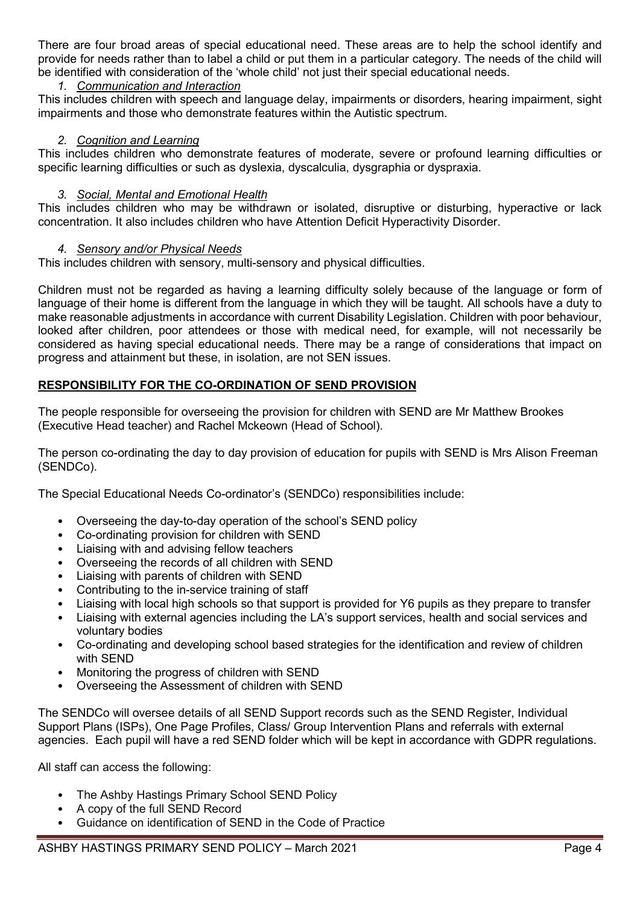There are four broad areas of special educational need. These areas are to help the school identify and provide for needs rather than to label a child or put them in a particular category. The needs of the child will be identified with consideration of the 'whole child' not just their special educational needs.

# 1. Communication and Interaction

This includes children with speech and language delay, impairments or disorders, hearing impairment, sight impairments and those who demonstrate features within the Autistic spectrum.

# 2. Cognition and Learning

This includes children who demonstrate features of moderate, severe or profound learning difficulties or specific learning difficulties or such as dyslexia, dyscalculia, dysgraphia or dyspraxia.

# 3. Social, Mental and Emotional Health

This includes children who may be withdrawn or isolated, disruptive or disturbing, hyperactive or lack concentration. It also includes children who have Attention Deficit Hyperactivity Disorder.

# 4. Sensory and/or Physical Needs

This includes children with sensory, multi-sensory and physical difficulties.

Children must not be regarded as having a learning difficulty solely because of the language or form of language of their home is different from the language in which they will be taught. All schools have a duty to make reasonable adjustments in accordance with current Disability Legislation. Children with poor behaviour, looked after children, poor attendees or those with medical need, for example, will not necessarily be considered as having special educational needs. There may be a range of considerations that impact on progress and attainment but these, in isolation, are not SEN issues.

# RESPONSIBILITY FOR THE CO-ORDINATION OF SEND PROVISION

The people responsible for overseeing the provision for children with SEND are Mr Matthew Brookes (Executive Head teacher) and Rachel Mckeown (Head of School).

The person co-ordinating the day to day provision of education for pupils with SEND is Mrs Alison Freeman (SENDCo).

The Special Educational Needs Co-ordinator's (SENDCo) responsibilities include:

- Overseeing the day-to-day operation of the school's SEND policy
- Co-ordinating provision for children with SEND
- Liaising with and advising fellow teachers
- Overseeing the records of all children with SEND
- Liaising with parents of children with SEND
- Contributing to the in-service training of staff
- Liaising with local high schools so that support is provided for Y6 pupils as they prepare to transfer
- Liaising with external agencies including the LA's support services, health and social services and voluntary bodies
- Co-ordinating and developing school based strategies for the identification and review of children with SEND
- Monitoring the progress of children with SEND
- Overseeing the Assessment of children with SEND

The SENDCo will oversee details of all SEND Support records such as the SEND Register, Individual Support Plans (ISPs), One Page Profiles, Class/ Group Intervention Plans and referrals with external agencies. Each pupil will have a red SEND folder which will be kept in accordance with GDPR regulations.

All staff can access the following:

- The Ashby Hastings Primary School SEND Policy
- A copy of the full SEND Record
- Guidance on identification of SEND in the Code of Practice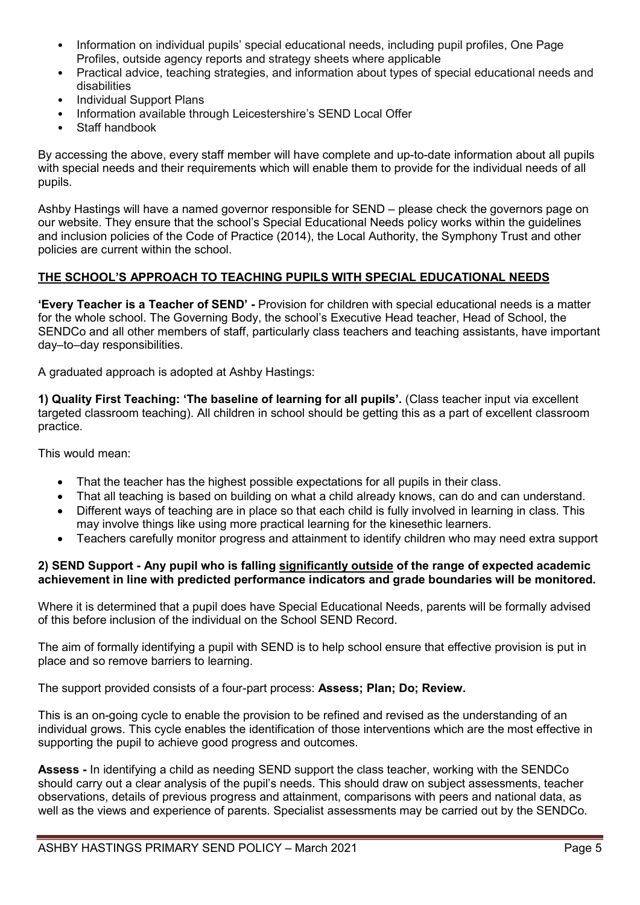- Information on individual pupils' special educational needs, including pupil profiles, One Page Profiles, outside agency reports and strategy sheets where applicable
- Practical advice, teaching strategies, and information about types of special educational needs and disabilities
- Individual Support Plans
- Information available through Leicestershire's SEND Local Offer
- Staff handbook

By accessing the above, every staff member will have complete and up-to-date information about all pupils with special needs and their requirements which will enable them to provide for the individual needs of all pupils.

Ashby Hastings will have a named governor responsible for SEND – please check the governors page on our website. They ensure that the school's Special Educational Needs policy works within the guidelines and inclusion policies of the Code of Practice (2014), the Local Authority, the Symphony Trust and other policies are current within the school.

# THE SCHOOL'S APPROACH TO TEACHING PUPILS WITH SPECIAL EDUCATIONAL NEEDS

'Every Teacher is a Teacher of SEND' - Provision for children with special educational needs is a matter for the whole school. The Governing Body, the school's Executive Head teacher, Head of School, the SENDCo and all other members of staff, particularly class teachers and teaching assistants, have important day–to–day responsibilities.

A graduated approach is adopted at Ashby Hastings:

1) Quality First Teaching: 'The baseline of learning for all pupils'. (Class teacher input via excellent targeted classroom teaching). All children in school should be getting this as a part of excellent classroom practice.

This would mean:

- That the teacher has the highest possible expectations for all pupils in their class.
- That all teaching is based on building on what a child already knows, can do and can understand.
- Different ways of teaching are in place so that each child is fully involved in learning in class. This may involve things like using more practical learning for the kinesethic learners.
- Teachers carefully monitor progress and attainment to identify children who may need extra support

#### 2) SEND Support - Any pupil who is falling significantly outside of the range of expected academic achievement in line with predicted performance indicators and grade boundaries will be monitored.

Where it is determined that a pupil does have Special Educational Needs, parents will be formally advised of this before inclusion of the individual on the School SEND Record.

The aim of formally identifying a pupil with SEND is to help school ensure that effective provision is put in place and so remove barriers to learning.

The support provided consists of a four-part process: Assess; Plan; Do; Review.

This is an on-going cycle to enable the provision to be refined and revised as the understanding of an individual grows. This cycle enables the identification of those interventions which are the most effective in supporting the pupil to achieve good progress and outcomes.

Assess - In identifying a child as needing SEND support the class teacher, working with the SENDCo should carry out a clear analysis of the pupil's needs. This should draw on subject assessments, teacher observations, details of previous progress and attainment, comparisons with peers and national data, as well as the views and experience of parents. Specialist assessments may be carried out by the SENDCo.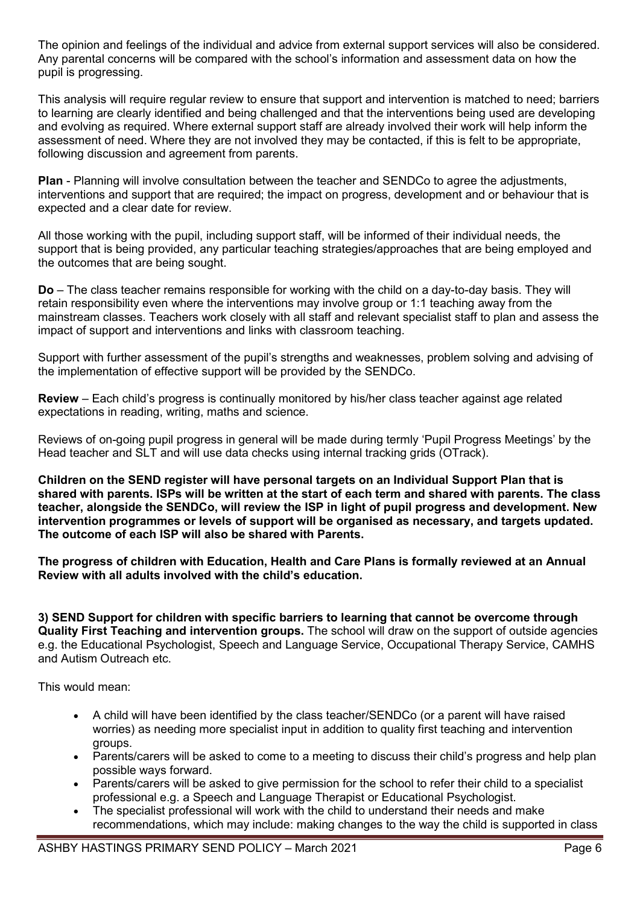The opinion and feelings of the individual and advice from external support services will also be considered. Any parental concerns will be compared with the school's information and assessment data on how the pupil is progressing.

This analysis will require regular review to ensure that support and intervention is matched to need; barriers to learning are clearly identified and being challenged and that the interventions being used are developing and evolving as required. Where external support staff are already involved their work will help inform the assessment of need. Where they are not involved they may be contacted, if this is felt to be appropriate, following discussion and agreement from parents.

Plan - Planning will involve consultation between the teacher and SENDCo to agree the adjustments, interventions and support that are required; the impact on progress, development and or behaviour that is expected and a clear date for review.

All those working with the pupil, including support staff, will be informed of their individual needs, the support that is being provided, any particular teaching strategies/approaches that are being employed and the outcomes that are being sought.

Do – The class teacher remains responsible for working with the child on a day-to-day basis. They will retain responsibility even where the interventions may involve group or 1:1 teaching away from the mainstream classes. Teachers work closely with all staff and relevant specialist staff to plan and assess the impact of support and interventions and links with classroom teaching.

Support with further assessment of the pupil's strengths and weaknesses, problem solving and advising of the implementation of effective support will be provided by the SENDCo.

Review – Each child's progress is continually monitored by his/her class teacher against age related expectations in reading, writing, maths and science.

Reviews of on-going pupil progress in general will be made during termly 'Pupil Progress Meetings' by the Head teacher and SLT and will use data checks using internal tracking grids (OTrack).

Children on the SEND register will have personal targets on an Individual Support Plan that is shared with parents. ISPs will be written at the start of each term and shared with parents. The class teacher, alongside the SENDCo, will review the ISP in light of pupil progress and development. New intervention programmes or levels of support will be organised as necessary, and targets updated. The outcome of each ISP will also be shared with Parents.

The progress of children with Education, Health and Care Plans is formally reviewed at an Annual Review with all adults involved with the child's education.

3) SEND Support for children with specific barriers to learning that cannot be overcome through Quality First Teaching and intervention groups. The school will draw on the support of outside agencies e.g. the Educational Psychologist, Speech and Language Service, Occupational Therapy Service, CAMHS and Autism Outreach etc.

This would mean:

- A child will have been identified by the class teacher/SENDCo (or a parent will have raised worries) as needing more specialist input in addition to quality first teaching and intervention groups.
- Parents/carers will be asked to come to a meeting to discuss their child's progress and help plan possible ways forward.
- Parents/carers will be asked to give permission for the school to refer their child to a specialist professional e.g. a Speech and Language Therapist or Educational Psychologist.
- The specialist professional will work with the child to understand their needs and make recommendations, which may include: making changes to the way the child is supported in class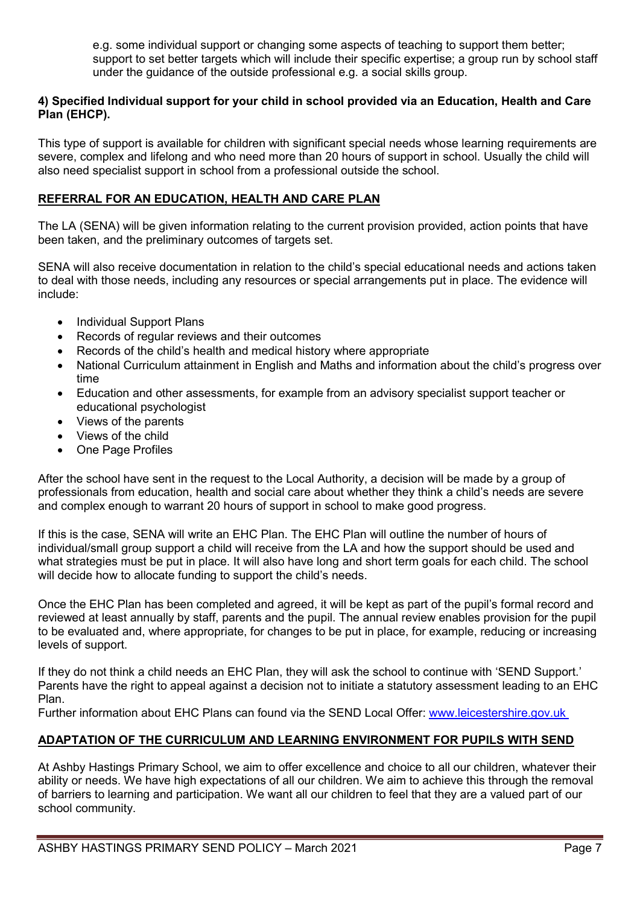e.g. some individual support or changing some aspects of teaching to support them better; support to set better targets which will include their specific expertise; a group run by school staff under the guidance of the outside professional e.g. a social skills group.

# 4) Specified Individual support for your child in school provided via an Education, Health and Care Plan (EHCP).

This type of support is available for children with significant special needs whose learning requirements are severe, complex and lifelong and who need more than 20 hours of support in school. Usually the child will also need specialist support in school from a professional outside the school.

# REFERRAL FOR AN EDUCATION, HEALTH AND CARE PLAN

The LA (SENA) will be given information relating to the current provision provided, action points that have been taken, and the preliminary outcomes of targets set.

SENA will also receive documentation in relation to the child's special educational needs and actions taken to deal with those needs, including any resources or special arrangements put in place. The evidence will include:

- Individual Support Plans
- Records of regular reviews and their outcomes
- Records of the child's health and medical history where appropriate
- National Curriculum attainment in English and Maths and information about the child's progress over time
- Education and other assessments, for example from an advisory specialist support teacher or educational psychologist
- Views of the parents
- Views of the child
- One Page Profiles

After the school have sent in the request to the Local Authority, a decision will be made by a group of professionals from education, health and social care about whether they think a child's needs are severe and complex enough to warrant 20 hours of support in school to make good progress.

If this is the case, SENA will write an EHC Plan. The EHC Plan will outline the number of hours of individual/small group support a child will receive from the LA and how the support should be used and what strategies must be put in place. It will also have long and short term goals for each child. The school will decide how to allocate funding to support the child's needs.

Once the EHC Plan has been completed and agreed, it will be kept as part of the pupil's formal record and reviewed at least annually by staff, parents and the pupil. The annual review enables provision for the pupil to be evaluated and, where appropriate, for changes to be put in place, for example, reducing or increasing levels of support.

If they do not think a child needs an EHC Plan, they will ask the school to continue with 'SEND Support.' Parents have the right to appeal against a decision not to initiate a statutory assessment leading to an EHC Plan.

Further information about EHC Plans can found via the SEND Local Offer: www.leicestershire.gov.uk

# ADAPTATION OF THE CURRICULUM AND LEARNING ENVIRONMENT FOR PUPILS WITH SEND

At Ashby Hastings Primary School, we aim to offer excellence and choice to all our children, whatever their ability or needs. We have high expectations of all our children. We aim to achieve this through the removal of barriers to learning and participation. We want all our children to feel that they are a valued part of our school community.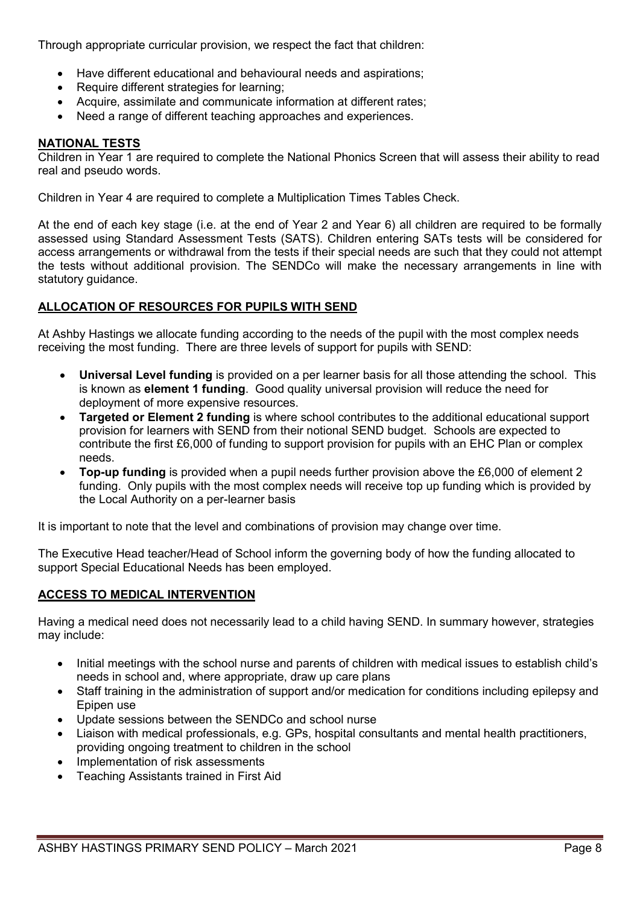Through appropriate curricular provision, we respect the fact that children:

- Have different educational and behavioural needs and aspirations;
- Require different strategies for learning;
- Acquire, assimilate and communicate information at different rates;
- Need a range of different teaching approaches and experiences.

# NATIONAL TESTS

Children in Year 1 are required to complete the National Phonics Screen that will assess their ability to read real and pseudo words.

Children in Year 4 are required to complete a Multiplication Times Tables Check.

At the end of each key stage (i.e. at the end of Year 2 and Year 6) all children are required to be formally assessed using Standard Assessment Tests (SATS). Children entering SATs tests will be considered for access arrangements or withdrawal from the tests if their special needs are such that they could not attempt the tests without additional provision. The SENDCo will make the necessary arrangements in line with statutory guidance.

# ALLOCATION OF RESOURCES FOR PUPILS WITH SEND

At Ashby Hastings we allocate funding according to the needs of the pupil with the most complex needs receiving the most funding. There are three levels of support for pupils with SEND:

- Universal Level funding is provided on a per learner basis for all those attending the school. This is known as element 1 funding. Good quality universal provision will reduce the need for deployment of more expensive resources.
- Targeted or Element 2 funding is where school contributes to the additional educational support provision for learners with SEND from their notional SEND budget. Schools are expected to contribute the first £6,000 of funding to support provision for pupils with an EHC Plan or complex needs.
- Top-up funding is provided when a pupil needs further provision above the £6,000 of element 2 funding. Only pupils with the most complex needs will receive top up funding which is provided by the Local Authority on a per-learner basis

It is important to note that the level and combinations of provision may change over time.

The Executive Head teacher/Head of School inform the governing body of how the funding allocated to support Special Educational Needs has been employed.

#### ACCESS TO MEDICAL INTERVENTION

Having a medical need does not necessarily lead to a child having SEND. In summary however, strategies may include:

- Initial meetings with the school nurse and parents of children with medical issues to establish child's needs in school and, where appropriate, draw up care plans
- Staff training in the administration of support and/or medication for conditions including epilepsy and Epipen use
- Update sessions between the SENDCo and school nurse
- Liaison with medical professionals, e.g. GPs, hospital consultants and mental health practitioners, providing ongoing treatment to children in the school
- Implementation of risk assessments
- Teaching Assistants trained in First Aid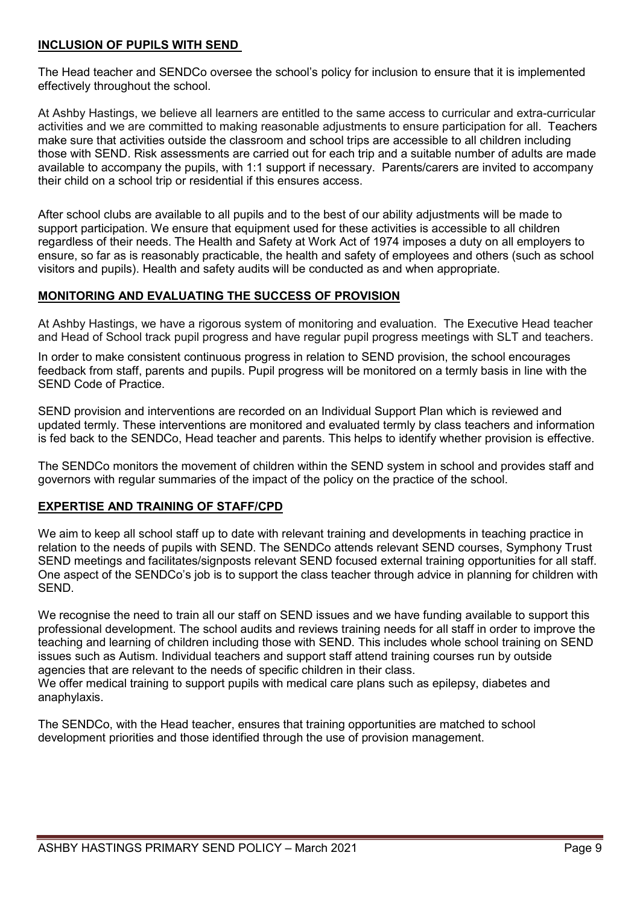# INCLUSION OF PUPILS WITH SEND

The Head teacher and SENDCo oversee the school's policy for inclusion to ensure that it is implemented effectively throughout the school.

At Ashby Hastings, we believe all learners are entitled to the same access to curricular and extra-curricular activities and we are committed to making reasonable adjustments to ensure participation for all. Teachers make sure that activities outside the classroom and school trips are accessible to all children including those with SEND. Risk assessments are carried out for each trip and a suitable number of adults are made available to accompany the pupils, with 1:1 support if necessary. Parents/carers are invited to accompany their child on a school trip or residential if this ensures access.

After school clubs are available to all pupils and to the best of our ability adjustments will be made to support participation. We ensure that equipment used for these activities is accessible to all children regardless of their needs. The Health and Safety at Work Act of 1974 imposes a duty on all employers to ensure, so far as is reasonably practicable, the health and safety of employees and others (such as school visitors and pupils). Health and safety audits will be conducted as and when appropriate.

# MONITORING AND EVALUATING THE SUCCESS OF PROVISION

At Ashby Hastings, we have a rigorous system of monitoring and evaluation. The Executive Head teacher and Head of School track pupil progress and have regular pupil progress meetings with SLT and teachers.

In order to make consistent continuous progress in relation to SEND provision, the school encourages feedback from staff, parents and pupils. Pupil progress will be monitored on a termly basis in line with the SEND Code of Practice.

SEND provision and interventions are recorded on an Individual Support Plan which is reviewed and updated termly. These interventions are monitored and evaluated termly by class teachers and information is fed back to the SENDCo, Head teacher and parents. This helps to identify whether provision is effective.

The SENDCo monitors the movement of children within the SEND system in school and provides staff and governors with regular summaries of the impact of the policy on the practice of the school.

# EXPERTISE AND TRAINING OF STAFF/CPD

We aim to keep all school staff up to date with relevant training and developments in teaching practice in relation to the needs of pupils with SEND. The SENDCo attends relevant SEND courses, Symphony Trust SEND meetings and facilitates/signposts relevant SEND focused external training opportunities for all staff. One aspect of the SENDCo's job is to support the class teacher through advice in planning for children with SEND.

We recognise the need to train all our staff on SEND issues and we have funding available to support this professional development. The school audits and reviews training needs for all staff in order to improve the teaching and learning of children including those with SEND. This includes whole school training on SEND issues such as Autism. Individual teachers and support staff attend training courses run by outside agencies that are relevant to the needs of specific children in their class.

We offer medical training to support pupils with medical care plans such as epilepsy, diabetes and anaphylaxis.

The SENDCo, with the Head teacher, ensures that training opportunities are matched to school development priorities and those identified through the use of provision management.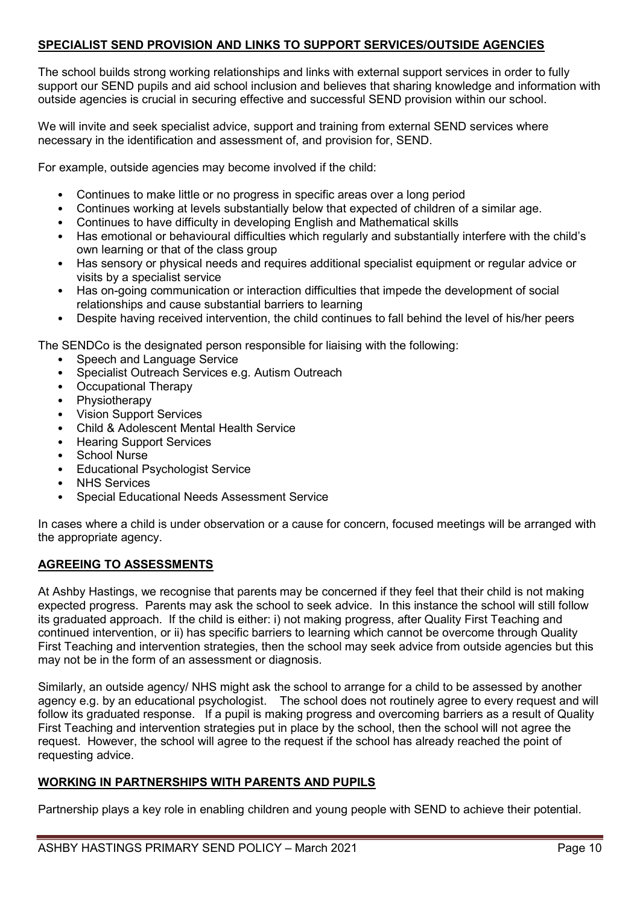# SPECIALIST SEND PROVISION AND LINKS TO SUPPORT SERVICES/OUTSIDE AGENCIES

The school builds strong working relationships and links with external support services in order to fully support our SEND pupils and aid school inclusion and believes that sharing knowledge and information with outside agencies is crucial in securing effective and successful SEND provision within our school.

We will invite and seek specialist advice, support and training from external SEND services where necessary in the identification and assessment of, and provision for, SEND.

For example, outside agencies may become involved if the child:

- Continues to make little or no progress in specific areas over a long period
- Continues working at levels substantially below that expected of children of a similar age.
- Continues to have difficulty in developing English and Mathematical skills
- Has emotional or behavioural difficulties which regularly and substantially interfere with the child's own learning or that of the class group
- Has sensory or physical needs and requires additional specialist equipment or regular advice or visits by a specialist service
- Has on-going communication or interaction difficulties that impede the development of social relationships and cause substantial barriers to learning
- Despite having received intervention, the child continues to fall behind the level of his/her peers

The SENDCo is the designated person responsible for liaising with the following:

- Speech and Language Service
- Specialist Outreach Services e.g. Autism Outreach
- Occupational Therapy
- **Physiotherapy**
- Vision Support Services
- Child & Adolescent Mental Health Service
- Hearing Support Services
- School Nurse
- **Educational Psychologist Service**
- **NHS Services**
- Special Educational Needs Assessment Service

In cases where a child is under observation or a cause for concern, focused meetings will be arranged with the appropriate agency.

#### AGREEING TO ASSESSMENTS

At Ashby Hastings, we recognise that parents may be concerned if they feel that their child is not making expected progress. Parents may ask the school to seek advice. In this instance the school will still follow its graduated approach. If the child is either: i) not making progress, after Quality First Teaching and continued intervention, or ii) has specific barriers to learning which cannot be overcome through Quality First Teaching and intervention strategies, then the school may seek advice from outside agencies but this may not be in the form of an assessment or diagnosis.

Similarly, an outside agency/ NHS might ask the school to arrange for a child to be assessed by another agency e.g. by an educational psychologist. The school does not routinely agree to every request and will follow its graduated response. If a pupil is making progress and overcoming barriers as a result of Quality First Teaching and intervention strategies put in place by the school, then the school will not agree the request. However, the school will agree to the request if the school has already reached the point of requesting advice.

#### WORKING IN PARTNERSHIPS WITH PARENTS AND PUPILS

Partnership plays a key role in enabling children and young people with SEND to achieve their potential.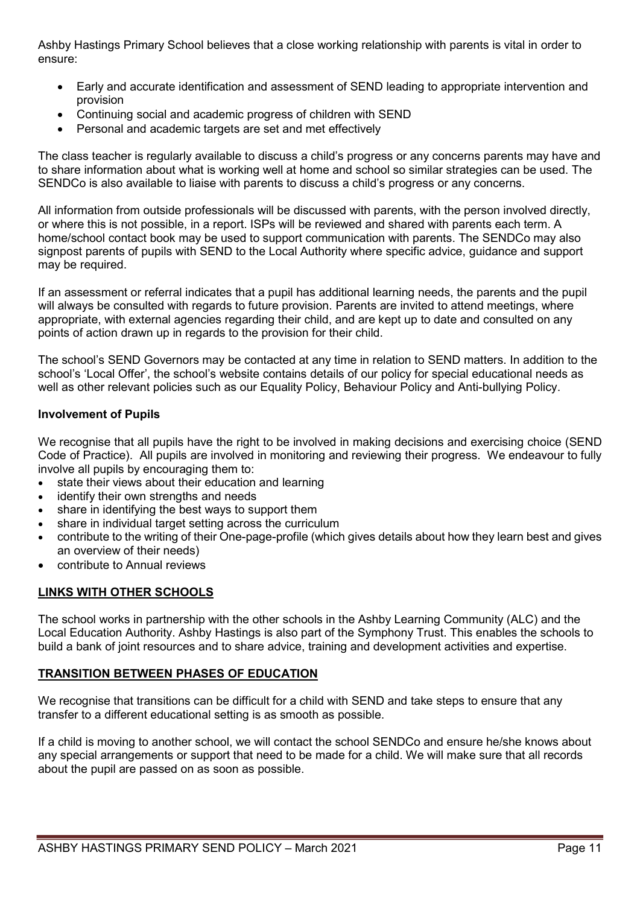Ashby Hastings Primary School believes that a close working relationship with parents is vital in order to ensure:

- Early and accurate identification and assessment of SEND leading to appropriate intervention and provision
- Continuing social and academic progress of children with SEND
- Personal and academic targets are set and met effectively

The class teacher is regularly available to discuss a child's progress or any concerns parents may have and to share information about what is working well at home and school so similar strategies can be used. The SENDCo is also available to liaise with parents to discuss a child's progress or any concerns.

All information from outside professionals will be discussed with parents, with the person involved directly, or where this is not possible, in a report. ISPs will be reviewed and shared with parents each term. A home/school contact book may be used to support communication with parents. The SENDCo may also signpost parents of pupils with SEND to the Local Authority where specific advice, guidance and support may be required.

If an assessment or referral indicates that a pupil has additional learning needs, the parents and the pupil will always be consulted with regards to future provision. Parents are invited to attend meetings, where appropriate, with external agencies regarding their child, and are kept up to date and consulted on any points of action drawn up in regards to the provision for their child.

The school's SEND Governors may be contacted at any time in relation to SEND matters. In addition to the school's 'Local Offer', the school's website contains details of our policy for special educational needs as well as other relevant policies such as our Equality Policy, Behaviour Policy and Anti-bullying Policy.

# Involvement of Pupils

We recognise that all pupils have the right to be involved in making decisions and exercising choice (SEND Code of Practice). All pupils are involved in monitoring and reviewing their progress. We endeavour to fully involve all pupils by encouraging them to:

- state their views about their education and learning
- identify their own strengths and needs
- share in identifying the best ways to support them
- share in individual target setting across the curriculum
- contribute to the writing of their One-page-profile (which gives details about how they learn best and gives an overview of their needs)
- contribute to Annual reviews

# LINKS WITH OTHER SCHOOLS

The school works in partnership with the other schools in the Ashby Learning Community (ALC) and the Local Education Authority. Ashby Hastings is also part of the Symphony Trust. This enables the schools to build a bank of joint resources and to share advice, training and development activities and expertise.

#### TRANSITION BETWEEN PHASES OF EDUCATION

We recognise that transitions can be difficult for a child with SEND and take steps to ensure that any transfer to a different educational setting is as smooth as possible.

If a child is moving to another school, we will contact the school SENDCo and ensure he/she knows about any special arrangements or support that need to be made for a child. We will make sure that all records about the pupil are passed on as soon as possible.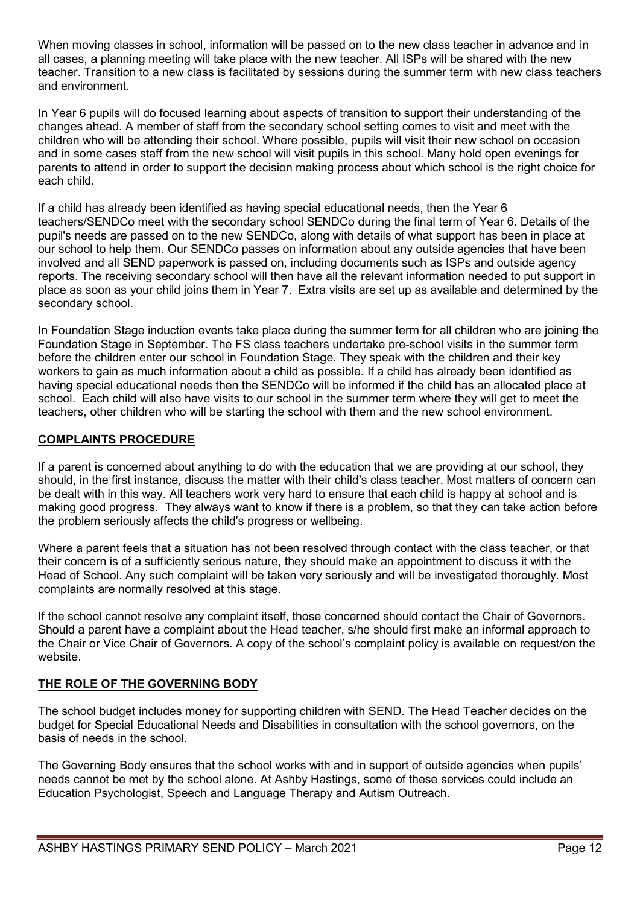When moving classes in school, information will be passed on to the new class teacher in advance and in all cases, a planning meeting will take place with the new teacher. All ISPs will be shared with the new teacher. Transition to a new class is facilitated by sessions during the summer term with new class teachers and environment.

In Year 6 pupils will do focused learning about aspects of transition to support their understanding of the changes ahead. A member of staff from the secondary school setting comes to visit and meet with the children who will be attending their school. Where possible, pupils will visit their new school on occasion and in some cases staff from the new school will visit pupils in this school. Many hold open evenings for parents to attend in order to support the decision making process about which school is the right choice for each child.

If a child has already been identified as having special educational needs, then the Year 6 teachers/SENDCo meet with the secondary school SENDCo during the final term of Year 6. Details of the pupil's needs are passed on to the new SENDCo, along with details of what support has been in place at our school to help them. Our SENDCo passes on information about any outside agencies that have been involved and all SEND paperwork is passed on, including documents such as ISPs and outside agency reports. The receiving secondary school will then have all the relevant information needed to put support in place as soon as your child joins them in Year 7. Extra visits are set up as available and determined by the secondary school.

In Foundation Stage induction events take place during the summer term for all children who are joining the Foundation Stage in September. The FS class teachers undertake pre-school visits in the summer term before the children enter our school in Foundation Stage. They speak with the children and their key workers to gain as much information about a child as possible. If a child has already been identified as having special educational needs then the SENDCo will be informed if the child has an allocated place at school. Each child will also have visits to our school in the summer term where they will get to meet the teachers, other children who will be starting the school with them and the new school environment.

# COMPLAINTS PROCEDURE

If a parent is concerned about anything to do with the education that we are providing at our school, they should, in the first instance, discuss the matter with their child's class teacher. Most matters of concern can be dealt with in this way. All teachers work very hard to ensure that each child is happy at school and is making good progress. They always want to know if there is a problem, so that they can take action before the problem seriously affects the child's progress or wellbeing.

Where a parent feels that a situation has not been resolved through contact with the class teacher, or that their concern is of a sufficiently serious nature, they should make an appointment to discuss it with the Head of School. Any such complaint will be taken very seriously and will be investigated thoroughly. Most complaints are normally resolved at this stage.

If the school cannot resolve any complaint itself, those concerned should contact the Chair of Governors. Should a parent have a complaint about the Head teacher, s/he should first make an informal approach to the Chair or Vice Chair of Governors. A copy of the school's complaint policy is available on request/on the website.

# THE ROLE OF THE GOVERNING BODY

The school budget includes money for supporting children with SEND. The Head Teacher decides on the budget for Special Educational Needs and Disabilities in consultation with the school governors, on the basis of needs in the school.

The Governing Body ensures that the school works with and in support of outside agencies when pupils' needs cannot be met by the school alone. At Ashby Hastings, some of these services could include an Education Psychologist, Speech and Language Therapy and Autism Outreach.